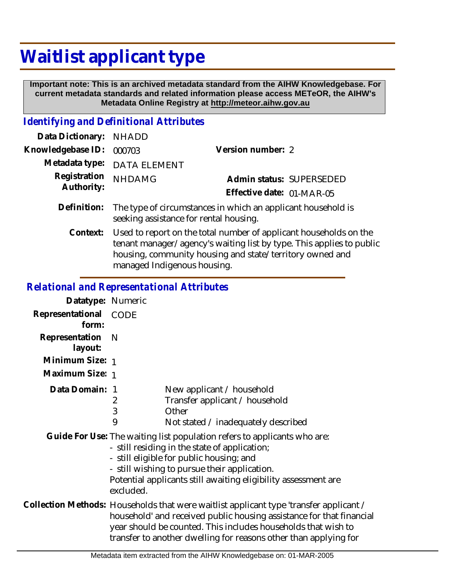## **Waitlist applicant type**

 **Important note: This is an archived metadata standard from the AIHW Knowledgebase. For current metadata standards and related information please access METeOR, the AIHW's Metadata Online Registry at http://meteor.aihw.gov.au**

## *Identifying and Definitional Attributes*

| Data Dictionary:           | <b>NHADD</b>                                                                                                                                                                                          |                           |                          |
|----------------------------|-------------------------------------------------------------------------------------------------------------------------------------------------------------------------------------------------------|---------------------------|--------------------------|
| Knowledgebase ID:          | 000703                                                                                                                                                                                                | Version number: 2         |                          |
| Metadata type:             | <b>DATA ELEMENT</b>                                                                                                                                                                                   |                           |                          |
| Registration<br>Authority: | <b>NHDAMG</b>                                                                                                                                                                                         | Effective date: 01-MAR-05 | Admin status: SUPERSEDED |
| Definition:                | The type of circumstances in which an applicant household is<br>seeking assistance for rental housing.                                                                                                |                           |                          |
| Context:                   | Used to report on the total number of applicant households on the<br>tenant manager/agency's waiting list by type. This applies to public<br>housing, community housing and state/territory owned and |                           |                          |

managed Indigenous housing.

*Relational and Representational Attributes*

| Relativilat and Representativilat Atti Ibutes |                                                                                                                                                                                                                                                                                                     |                                                                                                                                                                                         |  |
|-----------------------------------------------|-----------------------------------------------------------------------------------------------------------------------------------------------------------------------------------------------------------------------------------------------------------------------------------------------------|-----------------------------------------------------------------------------------------------------------------------------------------------------------------------------------------|--|
| Datatype: Numeric                             |                                                                                                                                                                                                                                                                                                     |                                                                                                                                                                                         |  |
| Representational<br>form:                     | CODE                                                                                                                                                                                                                                                                                                |                                                                                                                                                                                         |  |
| Representation<br>layout:                     | N                                                                                                                                                                                                                                                                                                   |                                                                                                                                                                                         |  |
| Minimum Size: 1                               |                                                                                                                                                                                                                                                                                                     |                                                                                                                                                                                         |  |
| Maximum Size: 1                               |                                                                                                                                                                                                                                                                                                     |                                                                                                                                                                                         |  |
| Data Domain: 1                                | 2<br>3<br>9                                                                                                                                                                                                                                                                                         | New applicant / household<br>Transfer applicant / household<br>Other<br>Not stated / inadequately described<br>Guide For Use: The waiting list population refers to applicants who are: |  |
|                                               | - still residing in the state of application;<br>- still eligible for public housing; and<br>- still wishing to pursue their application.<br>Potential applicants still awaiting eligibility assessment are<br>excluded.                                                                            |                                                                                                                                                                                         |  |
|                                               | Collection Methods: Households that were waitlist applicant type 'transfer applicant /<br>household' and received public housing assistance for that financial<br>year should be counted. This includes households that wish to<br>transfer to another dwelling for reasons other than applying for |                                                                                                                                                                                         |  |